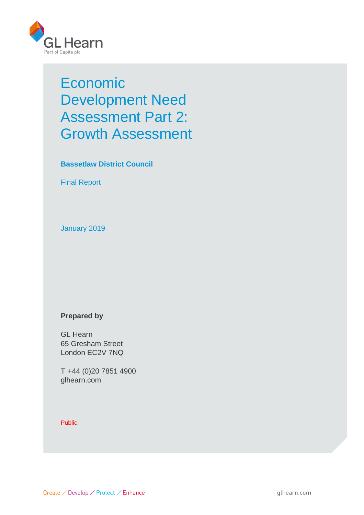

# Economic Development Need Assessment Part 2: Growth Assessment

**Bassetlaw District Council**

Final Report

January 2019

## **Prepared by**

GL Hearn 65 Gresham Street London EC2V 7NQ

T +44 (0)20 7851 4900 glhearn.com

#### Public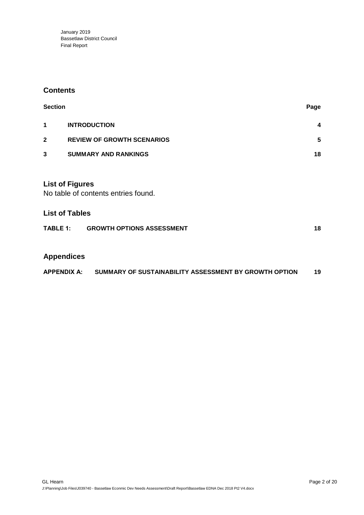## **Contents**

| <b>Section</b> |                                                               | Page                    |
|----------------|---------------------------------------------------------------|-------------------------|
| 1              | <b>INTRODUCTION</b>                                           | $\overline{\mathbf{4}}$ |
| $\mathbf{2}$   | <b>REVIEW OF GROWTH SCENARIOS</b>                             | 5                       |
| 3              | <b>SUMMARY AND RANKINGS</b>                                   | 18                      |
|                | <b>List of Figures</b><br>No table of contents entries found. |                         |

## **List of Tables**

| <b>TABLE 1:</b> | <b>GROWTH OPTIONS ASSESSMENT</b> |  |
|-----------------|----------------------------------|--|
|                 |                                  |  |

# **Appendices**

|  | <b>APPENDIX A:</b> | SUMMARY OF SUSTAINABILITY ASSESSMENT BY GROWTH OPTION | 19 |
|--|--------------------|-------------------------------------------------------|----|
|--|--------------------|-------------------------------------------------------|----|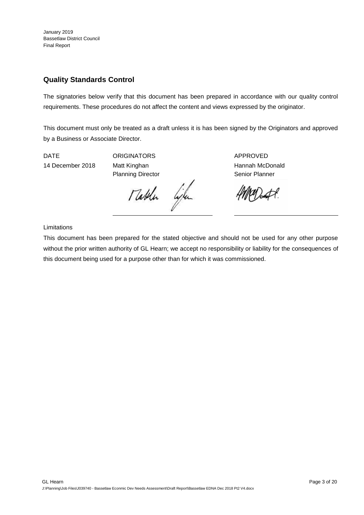## **Quality Standards Control**

The signatories below verify that this document has been prepared in accordance with our quality control requirements. These procedures do not affect the content and views expressed by the originator.

This document must only be treated as a draft unless it is has been signed by the Originators and approved by a Business or Associate Director.

DATE ORIGINATORS APPROVED 14 December 2018 Matt Kinghan Hannah McDonald

Planning Director **Senior Planner** Senior Planner

Mathen life

Limitations

This document has been prepared for the stated objective and should not be used for any other purpose without the prior written authority of GL Hearn; we accept no responsibility or liability for the consequences of this document being used for a purpose other than for which it was commissioned.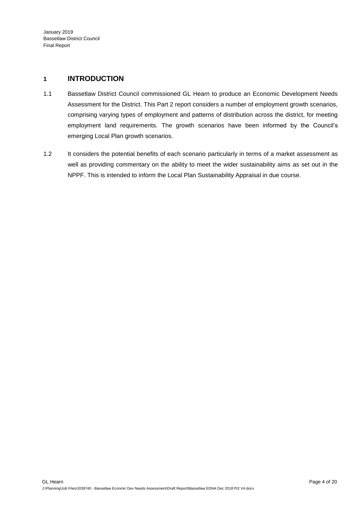## **1 INTRODUCTION**

- 1.1 Bassetlaw District Council commissioned GL Hearn to produce an Economic Development Needs Assessment for the District. This Part 2 report considers a number of employment growth scenarios, comprising varying types of employment and patterns of distribution across the district, for meeting employment land requirements. The growth scenarios have been informed by the Council's emerging Local Plan growth scenarios.
- 1.2 It considers the potential benefits of each scenario particularly in terms of a market assessment as well as providing commentary on the ability to meet the wider sustainability aims as set out in the NPPF. This is intended to inform the Local Plan Sustainability Appraisal in due course.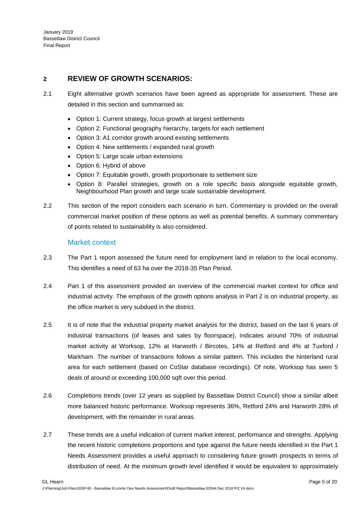## **2 REVIEW OF GROWTH SCENARIOS:**

- 2.1 Eight alternative growth scenarios have been agreed as appropriate for assessment. These are detailed in this section and summarised as:
	- Option 1: Current strategy, focus growth at largest settlements
	- Option 2: Functional geography hierarchy, targets for each settlement
	- Option 3: A1 corridor growth around existing settlements
	- Option 4: New settlements / expanded rural growth
	- Option 5: Large scale urban extensions
	- Option 6: Hybrid of above
	- Option 7: Equitable growth, growth proportionate to settlement size
	- Option 8: Parallel strategies, growth on a role specific basis alongside equitable growth, Neighbourhood Plan growth and large scale sustainable development.
- 2.2 This section of the report considers each scenario in turn. Commentary is provided on the overall commercial market position of these options as well as potential benefits. A summary commentary of points related to sustainability is also considered.

#### Market context

- 2.3 The Part 1 report assessed the future need for employment land in relation to the local economy. This identifies a need of 63 ha over the 2018-35 Plan Period.
- 2.4 Part 1 of this assessment provided an overview of the commercial market context for office and industrial activity. The emphasis of the growth options analysis in Part 2 is on industrial property, as the office market is very subdued in the district.
- 2.5 It is of note that the industrial property market analysis for the district, based on the last 6 years of industrial transactions (of leases and sales by floorspace), indicates around 70% of industrial market activity at Worksop, 12% at Harworth / Bircotes, 14% at Retford and 4% at Tuxford / Markham. The number of transactions follows a similar pattern. This includes the hinterland rural area for each settlement (based on CoStar database recordings). Of note, Worksop has seen 5 deals of around or exceeding 100,000 sqft over this period.
- 2.6 Completions trends (over 12 years as supplied by Bassetlaw District Council) show a similar albeit more balanced historic performance. Worksop represents 36%, Retford 24% and Harworth 28% of development, with the remainder in rural areas.
- 2.7 These trends are a useful indication of current market interest, performance and strengths. Applying the recent historic completions proportions and type against the future needs identified in the Part 1 Needs Assessment provides a useful approach to considering future growth prospects in terms of distribution of need. At the minimum growth level identified it would be equivalent to approximately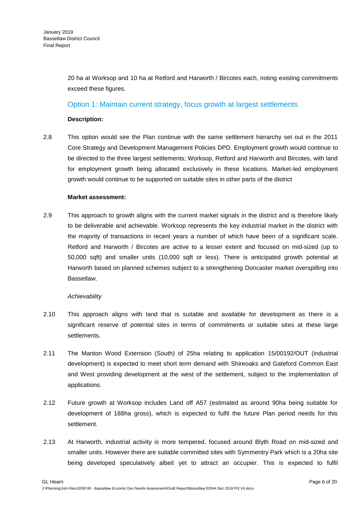20 ha at Worksop and 10 ha at Retford and Harworth / Bircotes each, noting existing commitments exceed these figures.

## Option 1: Maintain current strategy, focus growth at largest settlements

#### **Description:**

2.8 This option would see the Plan continue with the same settlement hierarchy set out in the 2011 Core Strategy and Development Management Policies DPD. Employment growth would continue to be directed to the three largest settlements; Worksop, Retford and Harworth and Bircotes, with land for employment growth being allocated exclusively in these locations. Market-led employment growth would continue to be supported on suitable sites in other parts of the district

#### **Market assessment:**

2.9 This approach to growth aligns with the current market signals in the district and is therefore likely to be deliverable and achievable. Worksop represents the key industrial market in the district with the majority of transactions in recent years a number of which have been of a significant scale. Retford and Harworth / Bircotes are active to a lesser extent and focused on mid-sized (up to 50,000 sqft) and smaller units (10,000 sqft or less). There is anticipated growth potential at Harworth based on planned schemes subject to a strengthening Doncaster market overspilling into Bassetlaw.

#### *Achievability*

- 2.10 This approach aligns with land that is suitable and available for development as there is a significant reserve of potential sites in terms of commitments or suitable sites at these large settlements.
- 2.11 The Manton Wood Extension (South) of 25ha relating to application 15/00192/OUT (industrial development) is expected to meet short term demand with Shireoaks and Gateford Common East and West providing development at the west of the settlement, subject to the implementation of applications.
- 2.12 Future growth at Worksop includes Land off A57 (estimated as around 90ha being suitable for development of 188ha gross), which is expected to fulfil the future Plan period needs for this settlement.
- 2.13 At Harworth, industrial activity is more tempered, focused around Blyth Road on mid-sized and smaller units. However there are suitable committed sites with Symmentry Park which is a 20ha site being developed speculatively albeit yet to attract an occupier. This is expected to fulfil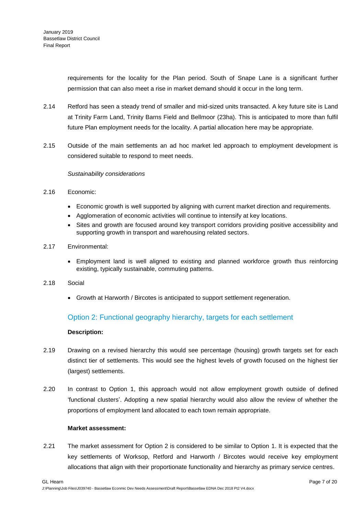requirements for the locality for the Plan period. South of Snape Lane is a significant further permission that can also meet a rise in market demand should it occur in the long term.

- 2.14 Retford has seen a steady trend of smaller and mid-sized units transacted. A key future site is Land at Trinity Farm Land, Trinity Barns Field and Bellmoor (23ha). This is anticipated to more than fulfil future Plan employment needs for the locality. A partial allocation here may be appropriate.
- 2.15 Outside of the main settlements an ad hoc market led approach to employment development is considered suitable to respond to meet needs.

#### *Sustainability considerations*

#### 2.16 Economic:

- Economic growth is well supported by aligning with current market direction and requirements.
- Agglomeration of economic activities will continue to intensify at key locations.
- Sites and growth are focused around key transport corridors providing positive accessibility and supporting growth in transport and warehousing related sectors.
- 2.17 Environmental:
	- Employment land is well aligned to existing and planned workforce growth thus reinforcing existing, typically sustainable, commuting patterns.
- 2.18 Social
	- Growth at Harworth / Bircotes is anticipated to support settlement regeneration.

## Option 2: Functional geography hierarchy, targets for each settlement

#### **Description:**

- 2.19 Drawing on a revised hierarchy this would see percentage (housing) growth targets set for each distinct tier of settlements. This would see the highest levels of growth focused on the highest tier (largest) settlements.
- 2.20 In contrast to Option 1, this approach would not allow employment growth outside of defined 'functional clusters'. Adopting a new spatial hierarchy would also allow the review of whether the proportions of employment land allocated to each town remain appropriate.

#### **Market assessment:**

2.21 The market assessment for Option 2 is considered to be similar to Option 1. It is expected that the key settlements of Worksop, Retford and Harworth / Bircotes would receive key employment allocations that align with their proportionate functionality and hierarchy as primary service centres.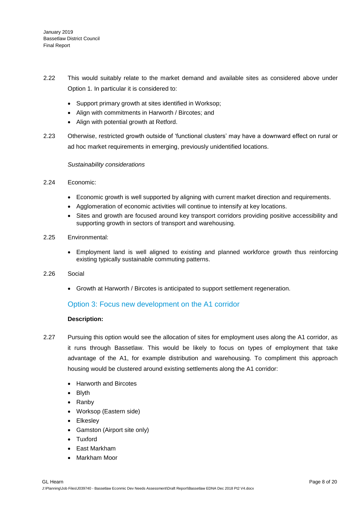- 2.22 This would suitably relate to the market demand and available sites as considered above under Option 1. In particular it is considered to:
	- Support primary growth at sites identified in Worksop;
	- Align with commitments in Harworth / Bircotes; and
	- Align with potential growth at Retford.
- 2.23 Otherwise, restricted growth outside of 'functional clusters' may have a downward effect on rural or ad hoc market requirements in emerging, previously unidentified locations.

#### *Sustainability considerations*

- 2.24 Economic:
	- Economic growth is well supported by aligning with current market direction and requirements.
	- Agglomeration of economic activities will continue to intensify at key locations.
	- Sites and growth are focused around key transport corridors providing positive accessibility and supporting growth in sectors of transport and warehousing.
- 2.25 Environmental:
	- Employment land is well aligned to existing and planned workforce growth thus reinforcing existing typically sustainable commuting patterns.
- 2.26 Social
	- Growth at Harworth / Bircotes is anticipated to support settlement regeneration.

## Option 3: Focus new development on the A1 corridor

#### **Description:**

- 2.27 Pursuing this option would see the allocation of sites for employment uses along the A1 corridor, as it runs through Bassetlaw. This would be likely to focus on types of employment that take advantage of the A1, for example distribution and warehousing. To compliment this approach housing would be clustered around existing settlements along the A1 corridor:
	- Harworth and Bircotes
	- Blvth
	- Ranby
	- Worksop (Eastern side)
	- Elkesley
	- Gamston (Airport site only)
	- Tuxford
	- East Markham
	- Markham Moor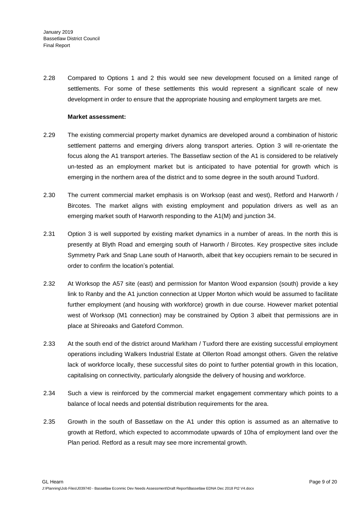2.28 Compared to Options 1 and 2 this would see new development focused on a limited range of settlements. For some of these settlements this would represent a significant scale of new development in order to ensure that the appropriate housing and employment targets are met.

#### **Market assessment:**

- 2.29 The existing commercial property market dynamics are developed around a combination of historic settlement patterns and emerging drivers along transport arteries. Option 3 will re-orientate the focus along the A1 transport arteries. The Bassetlaw section of the A1 is considered to be relatively un-tested as an employment market but is anticipated to have potential for growth which is emerging in the northern area of the district and to some degree in the south around Tuxford.
- 2.30 The current commercial market emphasis is on Worksop (east and west), Retford and Harworth / Bircotes. The market aligns with existing employment and population drivers as well as an emerging market south of Harworth responding to the A1(M) and junction 34.
- 2.31 Option 3 is well supported by existing market dynamics in a number of areas. In the north this is presently at Blyth Road and emerging south of Harworth / Bircotes. Key prospective sites include Symmetry Park and Snap Lane south of Harworth, albeit that key occupiers remain to be secured in order to confirm the location's potential.
- 2.32 At Worksop the A57 site (east) and permission for Manton Wood expansion (south) provide a key link to Ranby and the A1 junction connection at Upper Morton which would be assumed to facilitate further employment (and housing with workforce) growth in due course. However market potential west of Worksop (M1 connection) may be constrained by Option 3 albeit that permissions are in place at Shireoaks and Gateford Common.
- 2.33 At the south end of the district around Markham / Tuxford there are existing successful employment operations including Walkers Industrial Estate at Ollerton Road amongst others. Given the relative lack of workforce locally, these successful sites do point to further potential growth in this location, capitalising on connectivity, particularly alongside the delivery of housing and workforce.
- 2.34 Such a view is reinforced by the commercial market engagement commentary which points to a balance of local needs and potential distribution requirements for the area.
- 2.35 Growth in the south of Bassetlaw on the A1 under this option is assumed as an alternative to growth at Retford, which expected to accommodate upwards of 10ha of employment land over the Plan period. Retford as a result may see more incremental growth.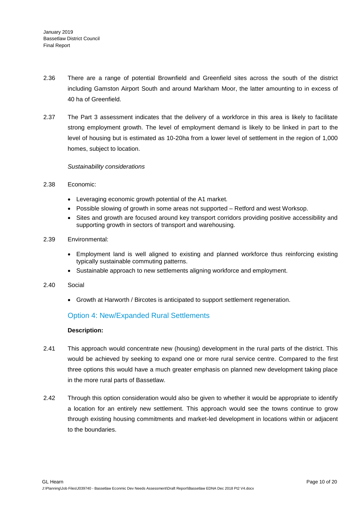- 2.36 There are a range of potential Brownfield and Greenfield sites across the south of the district including Gamston Airport South and around Markham Moor, the latter amounting to in excess of 40 ha of Greenfield.
- 2.37 The Part 3 assessment indicates that the delivery of a workforce in this area is likely to facilitate strong employment growth. The level of employment demand is likely to be linked in part to the level of housing but is estimated as 10-20ha from a lower level of settlement in the region of 1,000 homes, subject to location.

#### *Sustainability considerations*

- 2.38 Economic:
	- Leveraging economic growth potential of the A1 market.
	- Possible slowing of growth in some areas not supported Retford and west Worksop.
	- Sites and growth are focused around key transport corridors providing positive accessibility and supporting growth in sectors of transport and warehousing.
- 2.39 Environmental:
	- Employment land is well aligned to existing and planned workforce thus reinforcing existing typically sustainable commuting patterns.
	- Sustainable approach to new settlements aligning workforce and employment.
- 2.40 Social
	- Growth at Harworth / Bircotes is anticipated to support settlement regeneration.

## Option 4: New/Expanded Rural Settlements

#### **Description:**

- 2.41 This approach would concentrate new (housing) development in the rural parts of the district. This would be achieved by seeking to expand one or more rural service centre. Compared to the first three options this would have a much greater emphasis on planned new development taking place in the more rural parts of Bassetlaw.
- 2.42 Through this option consideration would also be given to whether it would be appropriate to identify a location for an entirely new settlement. This approach would see the towns continue to grow through existing housing commitments and market-led development in locations within or adjacent to the boundaries.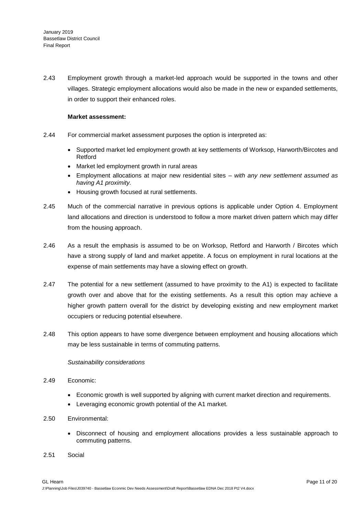2.43 Employment growth through a market-led approach would be supported in the towns and other villages. Strategic employment allocations would also be made in the new or expanded settlements, in order to support their enhanced roles.

#### **Market assessment:**

- 2.44 For commercial market assessment purposes the option is interpreted as:
	- Supported market led employment growth at key settlements of Worksop, Harworth/Bircotes and Retford
	- Market led employment growth in rural areas
	- Employment allocations at major new residential sites *with any new settlement assumed as having A1 proximity.*
	- Housing growth focused at rural settlements.
- 2.45 Much of the commercial narrative in previous options is applicable under Option 4. Employment land allocations and direction is understood to follow a more market driven pattern which may differ from the housing approach.
- 2.46 As a result the emphasis is assumed to be on Worksop, Retford and Harworth / Bircotes which have a strong supply of land and market appetite. A focus on employment in rural locations at the expense of main settlements may have a slowing effect on growth.
- 2.47 The potential for a new settlement (assumed to have proximity to the A1) is expected to facilitate growth over and above that for the existing settlements. As a result this option may achieve a higher growth pattern overall for the district by developing existing and new employment market occupiers or reducing potential elsewhere.
- 2.48 This option appears to have some divergence between employment and housing allocations which may be less sustainable in terms of commuting patterns.

#### *Sustainability considerations*

- 2.49 Economic:
	- Economic growth is well supported by aligning with current market direction and requirements.
	- Leveraging economic growth potential of the A1 market.
- 2.50 Environmental:
	- Disconnect of housing and employment allocations provides a less sustainable approach to commuting patterns.
- 2.51 Social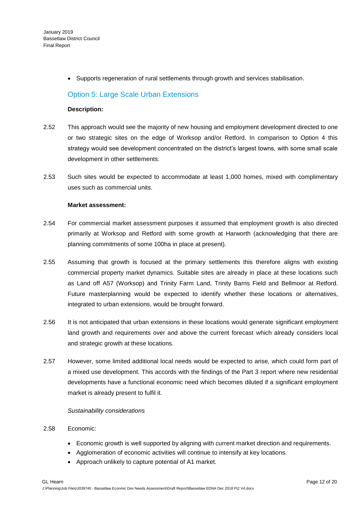• Supports regeneration of rural settlements through growth and services stabilisation.

## Option 5: Large Scale Urban Extensions

#### **Description:**

- 2.52 This approach would see the majority of new housing and employment development directed to one or two strategic sites on the edge of Worksop and/or Retford. In comparison to Option 4 this strategy would see development concentrated on the district's largest towns, with some small scale development in other settlements.
- 2.53 Such sites would be expected to accommodate at least 1,000 homes, mixed with complimentary uses such as commercial units.

#### **Market assessment:**

- 2.54 For commercial market assessment purposes it assumed that employment growth is also directed primarily at Worksop and Retford with some growth at Harworth (acknowledging that there are planning commitments of some 100ha in place at present).
- 2.55 Assuming that growth is focused at the primary settlements this therefore aligns with existing commercial property market dynamics. Suitable sites are already in place at these locations such as Land off A57 (Worksop) and Trinity Farm Land, Trinity Barns Field and Bellmoor at Retford. Future masterplanning would be expected to identify whether these locations or alternatives, integrated to urban extensions, would be brought forward.
- 2.56 It is not anticipated that urban extensions in these locations would generate significant employment land growth and requirements over and above the current forecast which already considers local and strategic growth at these locations.
- 2.57 However, some limited additional local needs would be expected to arise, which could form part of a mixed use development. This accords with the findings of the Part 3 report where new residential developments have a functional economic need which becomes diluted if a significant employment market is already present to fulfil it.

#### *Sustainability considerations*

#### 2.58 Economic:

- Economic growth is well supported by aligning with current market direction and requirements.
- Agglomeration of economic activities will continue to intensify at key locations.
- Approach unlikely to capture potential of A1 market.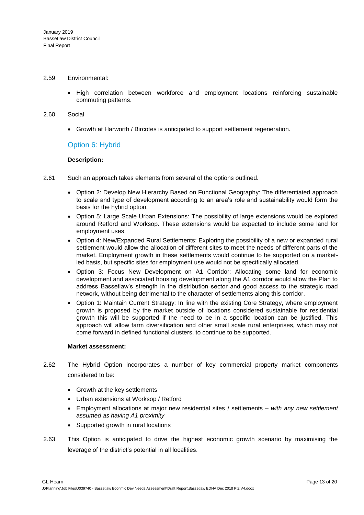#### 2.59 Environmental:

• High correlation between workforce and employment locations reinforcing sustainable commuting patterns.

#### 2.60 Social

Growth at Harworth / Bircotes is anticipated to support settlement regeneration.

#### Option 6: Hybrid

#### **Description:**

- 2.61 Such an approach takes elements from several of the options outlined.
	- Option 2: Develop New Hierarchy Based on Functional Geography: The differentiated approach to scale and type of development according to an area's role and sustainability would form the basis for the hybrid option.
	- Option 5: Large Scale Urban Extensions: The possibility of large extensions would be explored around Retford and Worksop. These extensions would be expected to include some land for employment uses.
	- Option 4: New/Expanded Rural Settlements: Exploring the possibility of a new or expanded rural settlement would allow the allocation of different sites to meet the needs of different parts of the market. Employment growth in these settlements would continue to be supported on a marketled basis, but specific sites for employment use would not be specifically allocated.
	- Option 3: Focus New Development on A1 Corridor: Allocating some land for economic development and associated housing development along the A1 corridor would allow the Plan to address Bassetlaw's strength in the distribution sector and good access to the strategic road network, without being detrimental to the character of settlements along this corridor.
	- Option 1: Maintain Current Strategy: In line with the existing Core Strategy, where employment growth is proposed by the market outside of locations considered sustainable for residential growth this will be supported if the need to be in a specific location can be justified. This approach will allow farm diversification and other small scale rural enterprises, which may not come forward in defined functional clusters, to continue to be supported.

#### **Market assessment:**

- 2.62 The Hybrid Option incorporates a number of key commercial property market components considered to be:
	- Growth at the key settlements
	- Urban extensions at Worksop / Retford
	- Employment allocations at major new residential sites / settlements *with any new settlement assumed as having A1 proximity*
	- Supported growth in rural locations
- 2.63 This Option is anticipated to drive the highest economic growth scenario by maximising the leverage of the district's potential in all localities.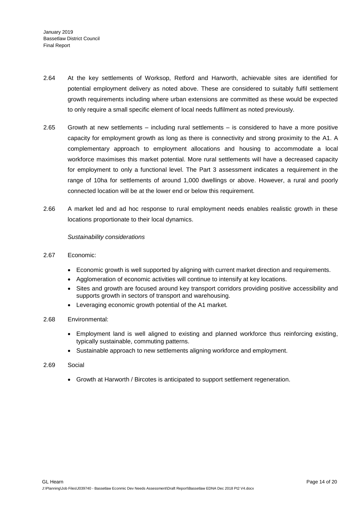- 2.64 At the key settlements of Worksop, Retford and Harworth, achievable sites are identified for potential employment delivery as noted above. These are considered to suitably fulfil settlement growth requirements including where urban extensions are committed as these would be expected to only require a small specific element of local needs fulfilment as noted previously.
- 2.65 Growth at new settlements including rural settlements is considered to have a more positive capacity for employment growth as long as there is connectivity and strong proximity to the A1. A complementary approach to employment allocations and housing to accommodate a local workforce maximises this market potential. More rural settlements will have a decreased capacity for employment to only a functional level. The Part 3 assessment indicates a requirement in the range of 10ha for settlements of around 1,000 dwellings or above. However, a rural and poorly connected location will be at the lower end or below this requirement.
- 2.66 A market led and ad hoc response to rural employment needs enables realistic growth in these locations proportionate to their local dynamics.

#### *Sustainability considerations*

- 2.67 Economic:
	- Economic growth is well supported by aligning with current market direction and requirements.
	- Agglomeration of economic activities will continue to intensify at key locations.
	- Sites and growth are focused around key transport corridors providing positive accessibility and supports growth in sectors of transport and warehousing.
	- Leveraging economic growth potential of the A1 market.
- 2.68 Environmental:
	- Employment land is well aligned to existing and planned workforce thus reinforcing existing, typically sustainable, commuting patterns.
	- Sustainable approach to new settlements aligning workforce and employment.
- 2.69 Social
	- Growth at Harworth / Bircotes is anticipated to support settlement regeneration.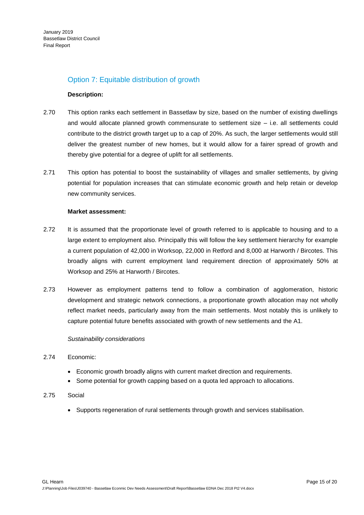## Option 7: Equitable distribution of growth

#### **Description:**

- 2.70 This option ranks each settlement in Bassetlaw by size, based on the number of existing dwellings and would allocate planned growth commensurate to settlement size – i.e. all settlements could contribute to the district growth target up to a cap of 20%. As such, the larger settlements would still deliver the greatest number of new homes, but it would allow for a fairer spread of growth and thereby give potential for a degree of uplift for all settlements.
- 2.71 This option has potential to boost the sustainability of villages and smaller settlements, by giving potential for population increases that can stimulate economic growth and help retain or develop new community services.

#### **Market assessment:**

- 2.72 It is assumed that the proportionate level of growth referred to is applicable to housing and to a large extent to employment also. Principally this will follow the key settlement hierarchy for example a current population of 42,000 in Worksop, 22,000 in Retford and 8,000 at Harworth / Bircotes. This broadly aligns with current employment land requirement direction of approximately 50% at Worksop and 25% at Harworth / Bircotes.
- 2.73 However as employment patterns tend to follow a combination of agglomeration, historic development and strategic network connections, a proportionate growth allocation may not wholly reflect market needs, particularly away from the main settlements. Most notably this is unlikely to capture potential future benefits associated with growth of new settlements and the A1.

#### *Sustainability considerations*

#### 2.74 Economic:

- Economic growth broadly aligns with current market direction and requirements.
- Some potential for growth capping based on a quota led approach to allocations.
- 2.75 Social
	- Supports regeneration of rural settlements through growth and services stabilisation.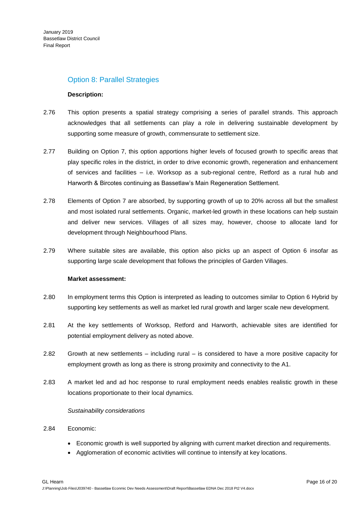### Option 8: Parallel Strategies

#### **Description:**

- 2.76 This option presents a spatial strategy comprising a series of parallel strands. This approach acknowledges that all settlements can play a role in delivering sustainable development by supporting some measure of growth, commensurate to settlement size.
- 2.77 Building on Option 7, this option apportions higher levels of focused growth to specific areas that play specific roles in the district, in order to drive economic growth, regeneration and enhancement of services and facilities – i.e. Worksop as a sub-regional centre, Retford as a rural hub and Harworth & Bircotes continuing as Bassetlaw's Main Regeneration Settlement.
- 2.78 Elements of Option 7 are absorbed, by supporting growth of up to 20% across all but the smallest and most isolated rural settlements. Organic, market-led growth in these locations can help sustain and deliver new services. Villages of all sizes may, however, choose to allocate land for development through Neighbourhood Plans.
- 2.79 Where suitable sites are available, this option also picks up an aspect of Option 6 insofar as supporting large scale development that follows the principles of Garden Villages.

#### **Market assessment:**

- 2.80 In employment terms this Option is interpreted as leading to outcomes similar to Option 6 Hybrid by supporting key settlements as well as market led rural growth and larger scale new development.
- 2.81 At the key settlements of Worksop, Retford and Harworth, achievable sites are identified for potential employment delivery as noted above.
- 2.82 Growth at new settlements including rural is considered to have a more positive capacity for employment growth as long as there is strong proximity and connectivity to the A1.
- 2.83 A market led and ad hoc response to rural employment needs enables realistic growth in these locations proportionate to their local dynamics.

#### *Sustainability considerations*

#### 2.84 Economic:

- Economic growth is well supported by aligning with current market direction and requirements.
- Agglomeration of economic activities will continue to intensify at key locations.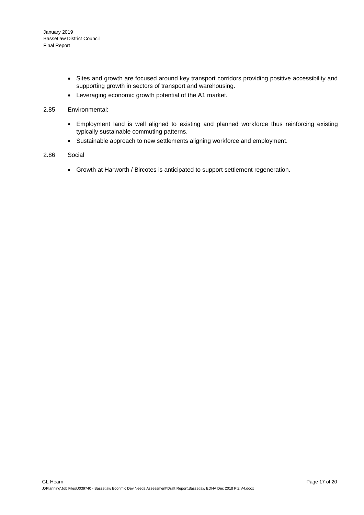- Sites and growth are focused around key transport corridors providing positive accessibility and supporting growth in sectors of transport and warehousing.
- Leveraging economic growth potential of the A1 market.

#### 2.85 Environmental:

- Employment land is well aligned to existing and planned workforce thus reinforcing existing typically sustainable commuting patterns.
- Sustainable approach to new settlements aligning workforce and employment.

#### 2.86 Social

Growth at Harworth / Bircotes is anticipated to support settlement regeneration.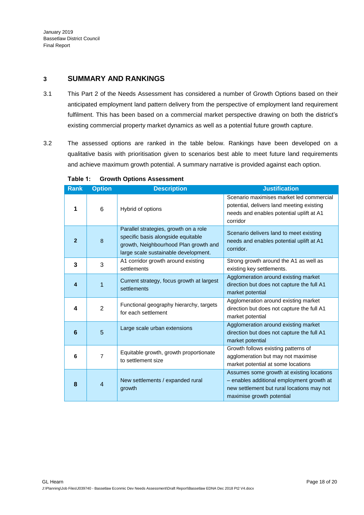## **3 SUMMARY AND RANKINGS**

- 3.1 This Part 2 of the Needs Assessment has considered a number of Growth Options based on their anticipated employment land pattern delivery from the perspective of employment land requirement fulfilment. This has been based on a commercial market perspective drawing on both the district's existing commercial property market dynamics as well as a potential future growth capture.
- 3.2 The assessed options are ranked in the table below. Rankings have been developed on a qualitative basis with prioritisation given to scenarios best able to meet future land requirements and achieve maximum growth potential. A summary narrative is provided against each option.

<span id="page-17-0"></span>

| <b>Rank</b>     | <b>Option</b>  | <b>Description</b>                                                                                                                                           | <b>Justification</b>                                                                                                                                              |
|-----------------|----------------|--------------------------------------------------------------------------------------------------------------------------------------------------------------|-------------------------------------------------------------------------------------------------------------------------------------------------------------------|
| 1               | 6              | Hybrid of options                                                                                                                                            | Scenario maximises market led commercial<br>potential, delivers land meeting existing<br>needs and enables potential uplift at A1<br>corridor                     |
| $\overline{2}$  | 8              | Parallel strategies, growth on a role<br>specific basis alongside equitable<br>growth, Neighbourhood Plan growth and<br>large scale sustainable development. | Scenario delivers land to meet existing<br>needs and enables potential uplift at A1<br>corridor.                                                                  |
| 3               | 3              | A1 corridor growth around existing<br>settlements                                                                                                            | Strong growth around the A1 as well as<br>existing key settlements.                                                                                               |
| 4               | 1              | Current strategy, focus growth at largest<br>settlements                                                                                                     | Agglomeration around existing market<br>direction but does not capture the full A1<br>market potential                                                            |
| 4               | $\overline{2}$ | Functional geography hierarchy, targets<br>for each settlement                                                                                               | Agglomeration around existing market<br>direction but does not capture the full A1<br>market potential                                                            |
| $6\phantom{1}6$ | 5              | Large scale urban extensions                                                                                                                                 | Agglomeration around existing market<br>direction but does not capture the full A1<br>market potential                                                            |
| 6               | $\overline{7}$ | Equitable growth, growth proportionate<br>to settlement size                                                                                                 | Growth follows existing patterns of<br>agglomeration but may not maximise<br>market potential at some locations                                                   |
| 8               | 4              | New settlements / expanded rural<br>growth                                                                                                                   | Assumes some growth at existing locations<br>- enables additional employment growth at<br>new settlement but rural locations may not<br>maximise growth potential |

**Table 1: Growth Options Assessment**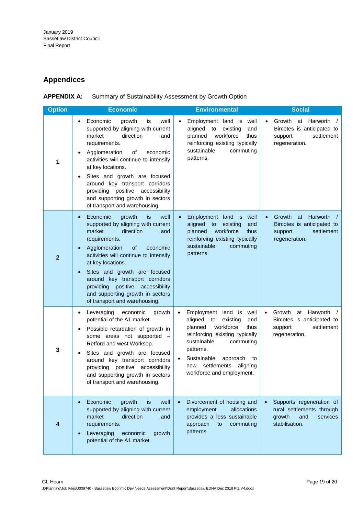# **Appendices**

| <b>APPENDIX A:</b> | Summary of Sustainability Assessment by Growth Option |
|--------------------|-------------------------------------------------------|
|                    |                                                       |

| <b>Option</b>  | <b>Economic</b>                                                                                                                                                                                                                                                                                                                                                                                                             | <b>Environmental</b>                                                                                                                                                                                                                                                                             | <b>Social</b>                                                                                                            |
|----------------|-----------------------------------------------------------------------------------------------------------------------------------------------------------------------------------------------------------------------------------------------------------------------------------------------------------------------------------------------------------------------------------------------------------------------------|--------------------------------------------------------------------------------------------------------------------------------------------------------------------------------------------------------------------------------------------------------------------------------------------------|--------------------------------------------------------------------------------------------------------------------------|
| 1              | well<br>Economic<br>growth<br>is<br>$\bullet$<br>supported by aligning with current<br>direction<br>market<br>and<br>requirements.<br>Agglomeration<br>of<br>economic<br>activities will continue to intensify<br>at key locations.<br>Sites and growth are focused<br>$\bullet$<br>around key transport corridors<br>providing positive accessibility<br>and supporting growth in sectors<br>of transport and warehousing. | Employment land is well<br>$\bullet$<br>aligned<br>to<br>existing<br>and<br>workforce<br>planned<br>thus<br>reinforcing existing typically<br>sustainable<br>commuting<br>patterns.                                                                                                              | Growth at Harworth /<br>$\bullet$<br>Bircotes is anticipated to<br>settlement<br>support<br>regeneration.                |
| $\overline{2}$ | Economic<br>growth<br>is<br>well<br>$\bullet$<br>supported by aligning with current<br>market<br>direction<br>and<br>requirements.<br>Agglomeration<br><b>of</b><br>economic<br>activities will continue to intensify<br>at key locations.<br>Sites and growth are focused<br>around key transport corridors<br>providing positive accessibility<br>and supporting growth in sectors<br>of transport and warehousing.       | Employment land is well<br>$\bullet$<br>aligned<br>to<br>existing<br>and<br>workforce<br>planned<br>thus<br>reinforcing existing typically<br>sustainable<br>commuting<br>patterns.                                                                                                              | at Harworth<br>Growth<br>$\bullet$<br>Bircotes is anticipated to<br>settlement<br>support<br>regeneration.               |
| 3              | Leveraging<br>economic<br>growth<br>$\bullet$<br>potential of the A1 market.<br>Possible retardation of growth in<br>$\bullet$<br>some areas not supported -<br>Retford and west Worksop.<br>Sites and growth are focused<br>$\bullet$<br>around key transport corridors<br>accessibility<br>providing positive<br>and supporting growth in sectors<br>of transport and warehousing.                                        | Employment land is well<br>$\bullet$<br>aligned<br>to<br>existing<br>and<br>workforce<br>planned<br>thus<br>reinforcing existing typically<br>sustainable<br>commuting<br>patterns.<br>Sustainable<br>approach<br>to<br>$\bullet$<br>settlements<br>aligning<br>new<br>workforce and employment. | Growth<br>at Harworth<br>$\bullet$<br>$\sqrt{ }$<br>Bircotes is anticipated to<br>support<br>settlement<br>regeneration. |
| 4              | Economic<br>growth<br>well<br>is.<br>$\bullet$<br>supported by aligning with current<br>market<br>direction<br>and<br>requirements.<br>Leveraging<br>economic<br>growth<br>potential of the A1 market.                                                                                                                                                                                                                      | Divorcement of housing and<br>allocations<br>employment<br>provides a less sustainable<br>approach<br>commuting<br>to<br>patterns.                                                                                                                                                               | Supports regeneration of<br>rural settlements through<br>growth<br>services<br>and<br>stabilisation.                     |